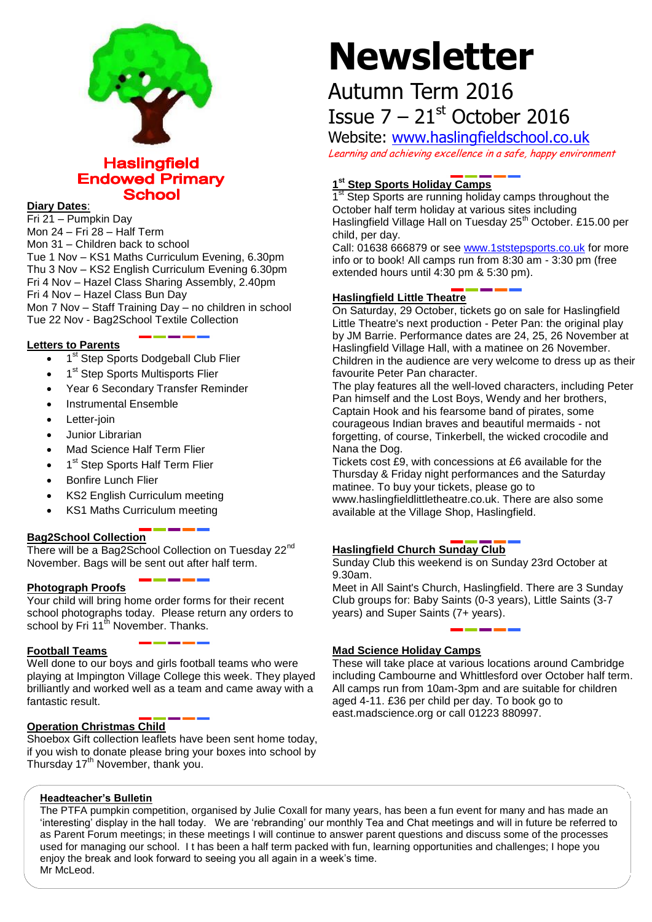

# **Haslingfield Endowed Primary School**

# **Diary Dates**:

Fri 21 – Pumpkin Day Mon 24 – Fri 28 – Half Term Mon 31 – Children back to school Tue 1 Nov – KS1 Maths Curriculum Evening, 6.30pm Thu 3 Nov – KS2 English Curriculum Evening 6.30pm Fri 4 Nov – Hazel Class Sharing Assembly, 2.40pm Fri 4 Nov – Hazel Class Bun Day Mon 7 Nov – Staff Training Day – no children in school Tue 22 Nov - Bag2School Textile Collection

# **Letters to Parents**

- 1<sup>st</sup> Step Sports Dodgeball Club Flier
- 1<sup>st</sup> Step Sports Multisports Flier
- Year 6 Secondary Transfer Reminder
- Instrumental Ensemble
- Letter-join
- Junior Librarian
- Mad Science Half Term Flier
- 1<sup>st</sup> Step Sports Half Term Flier
- Bonfire Lunch Flier
- KS2 English Curriculum meeting
- KS1 Maths Curriculum meeting

# **Bag2School Collection**

There will be a Bag2School Collection on Tuesday 22<sup>nd</sup> November. Bags will be sent out after half term.

# **Photograph Proofs**

Your child will bring home order forms for their recent school photographs today. Please return any orders to school by Fri 11<sup>th</sup> November. Thanks.

# **Football Teams**

Well done to our boys and girls football teams who were playing at Impington Village College this week. They played brilliantly and worked well as a team and came away with a fantastic result.

# **Operation Christmas Child**

Shoebox Gift collection leaflets have been sent home today, if you wish to donate please bring your boxes into school by Thursday 17<sup>th</sup> November, thank you.

# **Newsletter**

# Autumn Term 2016 Issue  $7 - 21$ <sup>st</sup> October 2016

Website: [www.haslingfieldschool.co.uk](http://www.haslingfieldschool.co.uk/)

Learning and achieving excellence in a safe, happy environment

# **1 st Step Sports Holiday Camps**

1<sup>st</sup> Step Sports are running holiday camps throughout the October half term holiday at various sites including Haslingfield Village Hall on Tuesday 25<sup>th</sup> October. £15.00 per child, per day.

Call: 01638 666879 or see [www.1ststepsports.co.uk](http://www.1ststepsports.co.uk/) for more info or to book! All camps run from 8:30 am - 3:30 pm (free extended hours until 4:30 pm & 5:30 pm).

#### **Haslingfield Little Theatre**

On Saturday, 29 October, tickets go on sale for Haslingfield Little Theatre's next production - Peter Pan: the original play by JM Barrie. Performance dates are 24, 25, 26 November at Haslingfield Village Hall, with a matinee on 26 November. Children in the audience are very welcome to dress up as their favourite Peter Pan character.

The play features all the well-loved characters, including Peter Pan himself and the Lost Boys, Wendy and her brothers, Captain Hook and his fearsome band of pirates, some courageous Indian braves and beautiful mermaids - not forgetting, of course, Tinkerbell, the wicked crocodile and Nana the Dog.

Tickets cost £9, with concessions at £6 available for the Thursday & Friday night performances and the Saturday matinee. To buy your tickets, please go to www.haslingfieldlittletheatre.co.uk. There are also some available at the Village Shop, Haslingfield.

# **Haslingfield Church Sunday Club**

Sunday Club this weekend is on Sunday 23rd October at 9.30am.

Meet in All Saint's Church, Haslingfield. There are 3 Sunday Club groups for: Baby Saints (0-3 years), Little Saints (3-7 years) and Super Saints (7+ years).

# **Mad Science Holiday Camps**

These will take place at various locations around Cambridge including Cambourne and Whittlesford over October half term. All camps run from 10am-3pm and are suitable for children aged 4-11. £36 per child per day. To book go to east.madscience.org or call 01223 880997.

# **Headteacher's Bulletin**

The PTFA pumpkin competition, organised by Julie Coxall for many years, has been a fun event for many and has made an 'interesting' display in the hall today. We are 'rebranding' our monthly Tea and Chat meetings and will in future be referred to as Parent Forum meetings; in these meetings I will continue to answer parent questions and discuss some of the processes used for managing our school. I t has been a half term packed with fun, learning opportunities and challenges; I hope you enjoy the break and look forward to seeing you all again in a week's time. Mr McLeod.